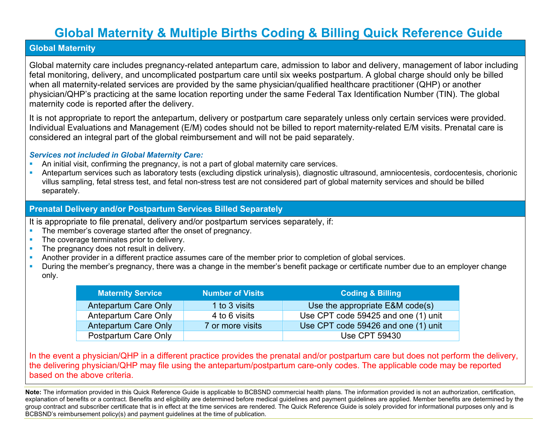# **Global Maternity & Multiple Births Coding & Billing Quick Reference Guide**

## **Global Maternity**

Global maternity care includes pregnancy-related antepartum care, admission to labor and delivery, management of labor including fetal monitoring, delivery, and uncomplicated postpartum care until six weeks postpartum. A global charge should only be billed when all maternity-related services are provided by the same physician/qualified healthcare practitioner (QHP) or another physician/QHP's practicing at the same location reporting under the same Federal Tax Identification Number (TIN). The global maternity code is reported after the delivery.

It is not appropriate to report the antepartum, delivery or postpartum care separately unless only certain services were provided. Individual Evaluations and Management (E/M) codes should not be billed to report maternity-related E/M visits. Prenatal care is considered an integral part of the global reimbursement and will not be paid separately.

#### *Services not included in Global Maternity Care:*

- An initial visit, confirming the pregnancy, is not a part of global maternity care services.
- Antepartum services such as laboratory tests (excluding dipstick urinalysis), diagnostic ultrasound, amniocentesis, cordocentesis, chorionic villus sampling, fetal stress test, and fetal non-stress test are not considered part of global maternity services and should be billed separately.

# **Prenatal Delivery and/or Postpartum Services Billed Separately**

It is appropriate to file prenatal, delivery and/or postpartum services separately, if:

- The member's coverage started after the onset of pregnancy.
- The coverage terminates prior to delivery.
- The pregnancy does not result in delivery.
- Another provider in a different practice assumes care of the member prior to completion of global services.
- During the member's pregnancy, there was a change in the member's benefit package or certificate number due to an employer change only.

| <b>Maternity Service</b>    | <b>Number of Visits</b> | <b>Coding &amp; Billing</b>         |
|-----------------------------|-------------------------|-------------------------------------|
| <b>Antepartum Care Only</b> | 1 to 3 visits           | Use the appropriate E&M code(s)     |
| <b>Antepartum Care Only</b> | 4 to 6 visits           | Use CPT code 59425 and one (1) unit |
| <b>Antepartum Care Only</b> | 7 or more visits        | Use CPT code 59426 and one (1) unit |
| Postpartum Care Only        |                         | Use CPT 59430                       |

In the event a physician/QHP in a different practice provides the prenatal and/or postpartum care but does not perform the delivery, the delivering physician/QHP may file using the antepartum/postpartum care-only codes. The applicable code may be reported based on the above criteria.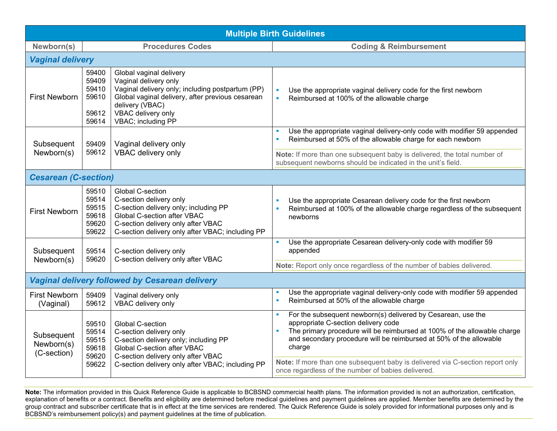| <b>Multiple Birth Guidelines</b>                      |                                                    |                                                                                                                                                                                                                         |                                                                                                                                                                                                                                                                                                                                                                                                              |  |  |
|-------------------------------------------------------|----------------------------------------------------|-------------------------------------------------------------------------------------------------------------------------------------------------------------------------------------------------------------------------|--------------------------------------------------------------------------------------------------------------------------------------------------------------------------------------------------------------------------------------------------------------------------------------------------------------------------------------------------------------------------------------------------------------|--|--|
| Newborn(s)                                            | <b>Procedures Codes</b>                            |                                                                                                                                                                                                                         | <b>Coding &amp; Reimbursement</b>                                                                                                                                                                                                                                                                                                                                                                            |  |  |
|                                                       | <b>Vaginal delivery</b>                            |                                                                                                                                                                                                                         |                                                                                                                                                                                                                                                                                                                                                                                                              |  |  |
| <b>First Newborn</b>                                  | 59400<br>59409<br>59410<br>59610<br>59612<br>59614 | Global vaginal delivery<br>Vaginal delivery only<br>Vaginal delivery only; including postpartum (PP)<br>Global vaginal delivery, after previous cesarean<br>delivery (VBAC)<br>VBAC delivery only<br>VBAC; including PP | Use the appropriate vaginal delivery code for the first newborn<br>×<br>Reimbursed at 100% of the allowable charge<br>×                                                                                                                                                                                                                                                                                      |  |  |
| Subsequent                                            | 59409                                              | Vaginal delivery only                                                                                                                                                                                                   | Use the appropriate vaginal delivery-only code with modifier 59 appended<br>×<br>Reimbursed at 50% of the allowable charge for each newborn                                                                                                                                                                                                                                                                  |  |  |
| Newborn(s)<br>59612                                   |                                                    | VBAC delivery only                                                                                                                                                                                                      | Note: If more than one subsequent baby is delivered, the total number of<br>subsequent newborns should be indicated in the unit's field.                                                                                                                                                                                                                                                                     |  |  |
| <b>Cesarean (C-section)</b>                           |                                                    |                                                                                                                                                                                                                         |                                                                                                                                                                                                                                                                                                                                                                                                              |  |  |
| <b>First Newborn</b>                                  | 59510<br>59514<br>59515<br>59618<br>59620<br>59622 | Global C-section<br>C-section delivery only<br>C-section delivery only; including PP<br>Global C-section after VBAC<br>C-section delivery only after VBAC<br>C-section delivery only after VBAC; including PP           | Use the appropriate Cesarean delivery code for the first newborn<br>Reimbursed at 100% of the allowable charge regardless of the subsequent<br>newborns                                                                                                                                                                                                                                                      |  |  |
| Subsequent                                            | 59514<br>59620                                     | C-section delivery only<br>C-section delivery only after VBAC                                                                                                                                                           | Use the appropriate Cesarean delivery-only code with modifier 59<br>appended                                                                                                                                                                                                                                                                                                                                 |  |  |
| Newborn(s)                                            |                                                    |                                                                                                                                                                                                                         | Note: Report only once regardless of the number of babies delivered.                                                                                                                                                                                                                                                                                                                                         |  |  |
| <b>Vaginal delivery followed by Cesarean delivery</b> |                                                    |                                                                                                                                                                                                                         |                                                                                                                                                                                                                                                                                                                                                                                                              |  |  |
| <b>First Newborn</b><br>(Vaginal)                     | 59409<br>59612                                     | Vaginal delivery only<br>VBAC delivery only                                                                                                                                                                             | Use the appropriate vaginal delivery-only code with modifier 59 appended<br>Reimbursed at 50% of the allowable charge<br>٠                                                                                                                                                                                                                                                                                   |  |  |
| Subsequent<br>Newborn(s)<br>(C-section)               | 59510<br>59514<br>59515<br>59618<br>59620<br>59622 | Global C-section<br>C-section delivery only<br>C-section delivery only; including PP<br>Global C-section after VBAC<br>C-section delivery only after VBAC<br>C-section delivery only after VBAC; including PP           | For the subsequent newborn(s) delivered by Cesarean, use the<br>appropriate C-section delivery code<br>The primary procedure will be reimbursed at 100% of the allowable charge<br>à,<br>and secondary procedure will be reimbursed at 50% of the allowable<br>charge<br>Note: If more than one subsequent baby is delivered via C-section report only<br>once regardless of the number of babies delivered. |  |  |
|                                                       |                                                    |                                                                                                                                                                                                                         |                                                                                                                                                                                                                                                                                                                                                                                                              |  |  |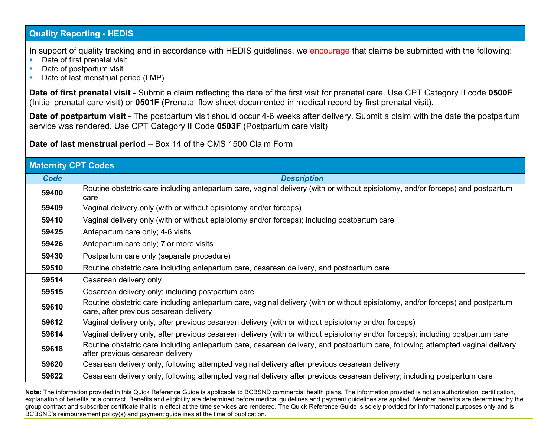## **Quality Reporting - HEDIS**

In support of quality tracking and in accordance with HEDIS guidelines, we encourage that claims be submitted with the following:

- Date of first prenatal visit
- Date of postpartum visit
- Date of last menstrual period (LMP)

**Date of first prenatal visit** - Submit a claim reflecting the date of the first visit for prenatal care. Use CPT Category II code **0500F** (Initial prenatal care visit) or **0501F** (Prenatal flow sheet documented in medical record by first prenatal visit).

**Date of postpartum visit** - The postpartum visit should occur 4-6 weeks after delivery. Submit a claim with the date the postpartum service was rendered. Use CPT Category II Code **0503F** (Postpartum care visit)

**Date of last menstrual period** – Box 14 of the CMS 1500 Claim Form

### **Maternity CPT Codes**

| <b>Code</b> | <b>Description</b>                                                                                                                                                       |
|-------------|--------------------------------------------------------------------------------------------------------------------------------------------------------------------------|
| 59400       | Routine obstetric care including antepartum care, vaginal delivery (with or without episiotomy, and/or forceps) and postpartum<br>care                                   |
| 59409       | Vaginal delivery only (with or without episiotomy and/or forceps)                                                                                                        |
| 59410       | Vaginal delivery only (with or without episiotomy and/or forceps); including postpartum care                                                                             |
| 59425       | Antepartum care only; 4-6 visits                                                                                                                                         |
| 59426       | Antepartum care only; 7 or more visits                                                                                                                                   |
| 59430       | Postpartum care only (separate procedure)                                                                                                                                |
| 59510       | Routine obstetric care including antepartum care, cesarean delivery, and postpartum care                                                                                 |
| 59514       | Cesarean delivery only                                                                                                                                                   |
| 59515       | Cesarean delivery only; including postpartum care                                                                                                                        |
| 59610       | Routine obstetric care including antepartum care, vaginal delivery (with or without episiotomy, and/or forceps) and postpartum<br>care, after previous cesarean delivery |
| 59612       | Vaginal delivery only, after previous cesarean delivery (with or without episiotomy and/or forceps)                                                                      |
| 59614       | Vaginal delivery only, after previous cesarean delivery (with or without episiotomy and/or forceps); including postpartum care                                           |
| 59618       | Routine obstetric care including antepartum care, cesarean delivery, and postpartum care, following attempted vaginal delivery<br>after previous cesarean delivery       |
| 59620       | Cesarean delivery only, following attempted vaginal delivery after previous cesarean delivery                                                                            |
| 59622       | Cesarean delivery only, following attempted vaginal delivery after previous cesarean delivery; including postpartum care                                                 |